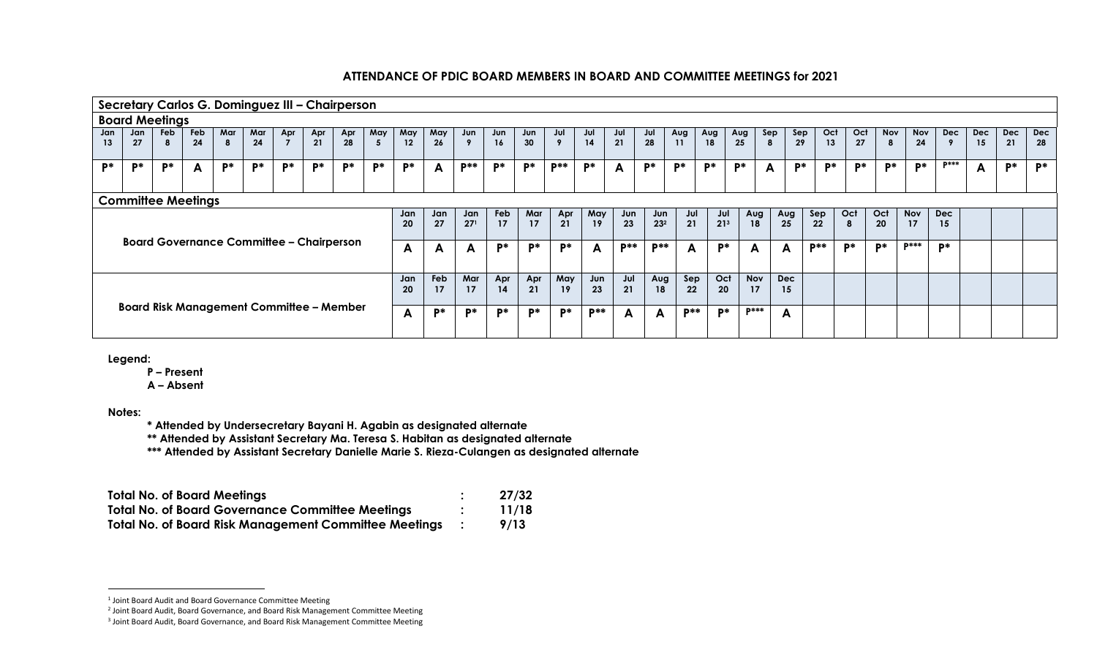|                                                 |                                                 |                       |                           |          |           |           | Secretary Carlos G. Dominguez III - Chairperson |           |          |           |           |                        |           |           |                     |            |            |                        |            |                        |                  |                     |            |           |           |                 |                  |                  |                  |                  |                  |
|-------------------------------------------------|-------------------------------------------------|-----------------------|---------------------------|----------|-----------|-----------|-------------------------------------------------|-----------|----------|-----------|-----------|------------------------|-----------|-----------|---------------------|------------|------------|------------------------|------------|------------------------|------------------|---------------------|------------|-----------|-----------|-----------------|------------------|------------------|------------------|------------------|------------------|
|                                                 |                                                 | <b>Board Meetings</b> |                           |          |           |           |                                                 |           |          |           |           |                        |           |           |                     |            |            |                        |            |                        |                  |                     |            |           |           |                 |                  |                  |                  |                  |                  |
| Jan<br>13                                       | Jan<br>27                                       | Feb<br>8              | Feb<br>24                 | Mar<br>8 | Mar<br>24 | Apr       | Apr<br>21                                       | Apr<br>28 | May<br>5 | May<br>12 | May<br>26 | Jun                    | Jun<br>16 | Jun<br>30 | Jul<br>$\mathbf{Q}$ | Jul<br>14  | Jul<br>21  | Jul<br>28              | Aug<br>11  | Aug<br>18              | Aug<br>25        | Sep<br>$\mathbf{8}$ | Sep<br>29  | Oct<br>13 | Oct<br>27 | <b>Nov</b><br>8 | <b>Nov</b><br>24 | <b>Dec</b>       | <b>Dec</b><br>15 | <b>Dec</b><br>21 | <b>Dec</b><br>28 |
| D*                                              | D*                                              | $P^*$                 | A                         | D*       | P*        | <b>D*</b> | D*                                              | P*        | P*       | D*        | A         | <b>D**</b>             | D*        | D*        | <b>D**</b>          | $P^*$      | A          | $P*$                   | D*         | P*                     | P*               | A                   | D*         | P*        | D*        | D*              | D*               | $D***$           | A                | P*               | D*               |
|                                                 |                                                 |                       | <b>Committee Meetings</b> |          |           |           |                                                 |           |          |           |           |                        |           |           |                     |            |            |                        |            |                        |                  |                     |            |           |           |                 |                  |                  |                  |                  |                  |
|                                                 |                                                 |                       |                           |          |           |           |                                                 |           |          | Jan<br>20 | Jan<br>27 | Jan<br>27 <sup>1</sup> | Feb<br>17 | Mar<br>17 | Apr<br>21           | May<br>19  | Jun<br>23  | Jun<br>23 <sup>2</sup> | Jul<br>21  | Jul<br>21 <sup>3</sup> | Aug<br>18        | Aug<br>25           | Sep<br>22  | Oct<br>8  | Oct<br>20 |                 | <b>Nov</b><br>17 | <b>Dec</b><br>15 |                  |                  |                  |
|                                                 | <b>Board Governance Committee - Chairperson</b> |                       |                           |          |           |           |                                                 |           |          |           |           | A                      | P*        | P*        | D*                  | A          | <b>D**</b> | <b>D**</b>             | A          | <b>D*</b>              | A                | A                   | <b>D**</b> | D*        | D*        |                 | <b>D***</b>      | P*               |                  |                  |                  |
| <b>Board Risk Management Committee - Member</b> |                                                 |                       |                           |          |           |           |                                                 |           |          | Jan<br>20 | Feb<br>17 | Mar<br>17              | Apr<br>14 | Apr<br>21 | May<br>19           | Jun<br>23  | Jul<br>21  | Aug<br>18              | Sep<br>22  | Oct<br>20              | <b>Nov</b><br>17 | <b>Dec</b><br>15    |            |           |           |                 |                  |                  |                  |                  |                  |
|                                                 |                                                 |                       |                           |          |           |           |                                                 |           |          | A         | D*        | <b>D*</b>              | D*        | P*        | D*                  | <b>D**</b> | A          | A                      | <b>D**</b> | D*                     | <b>D***</b>      | A                   |            |           |           |                 |                  |                  |                  |                  |                  |

**Legend:**

**P – Present**

**A – Absent**

**Notes:**

 $\overline{a}$ 

**\* Attended by Undersecretary Bayani H. Agabin as designated alternate**

**\*\* Attended by Assistant Secretary Ma. Teresa S. Habitan as designated alternate**

**\*\*\* Attended by Assistant Secretary Danielle Marie S. Rieza-Culangen as designated alternate**

| <b>Total No. of Board Meetings</b>                           | 27/32 |
|--------------------------------------------------------------|-------|
| <b>Total No. of Board Governance Committee Meetings</b>      | 11/18 |
| <b>Total No. of Board Risk Management Committee Meetings</b> | 9/13  |

<sup>1</sup> Joint Board Audit and Board Governance Committee Meeting

<sup>2</sup> Joint Board Audit, Board Governance, and Board Risk Management Committee Meeting

<sup>&</sup>lt;sup>3</sup> Joint Board Audit, Board Governance, and Board Risk Management Committee Meeting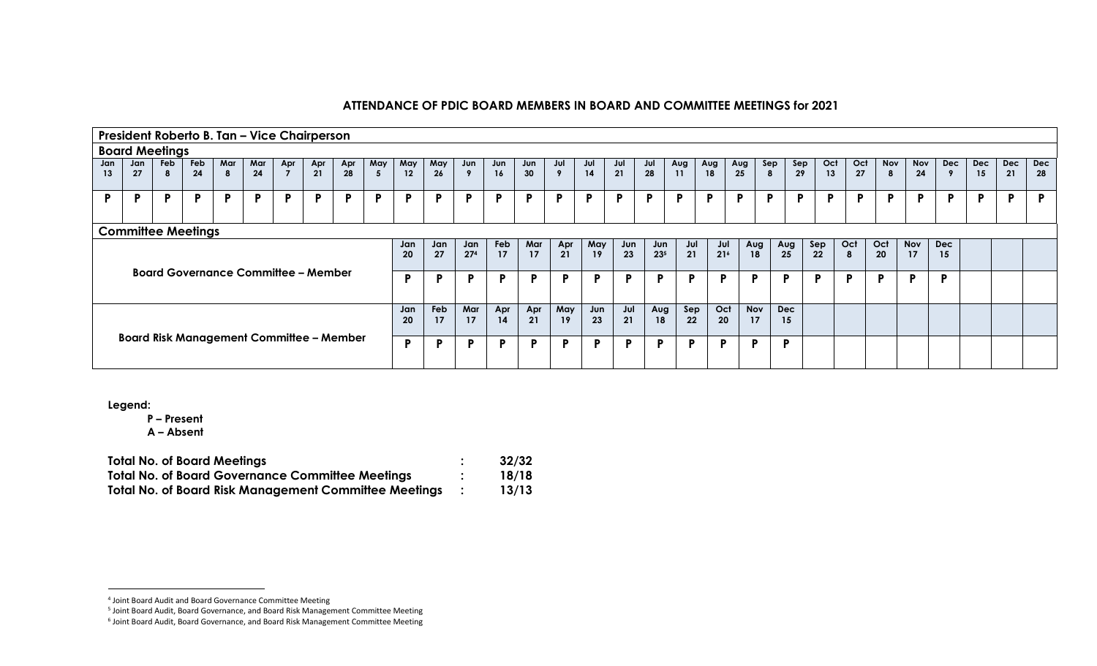|                                                                                                                                                                                              |                                                 |                       |           | President Roberto B. Tan - Vice Chairperson |           |     |           |           |          |           |           |           |           |           |           |           |                        |                  |                  |           |                  |          |                  |           |           |                 |           |                 |                  |                  |           |
|----------------------------------------------------------------------------------------------------------------------------------------------------------------------------------------------|-------------------------------------------------|-----------------------|-----------|---------------------------------------------|-----------|-----|-----------|-----------|----------|-----------|-----------|-----------|-----------|-----------|-----------|-----------|------------------------|------------------|------------------|-----------|------------------|----------|------------------|-----------|-----------|-----------------|-----------|-----------------|------------------|------------------|-----------|
|                                                                                                                                                                                              |                                                 | <b>Board Meetings</b> |           |                                             |           |     |           |           |          |           |           |           |           |           |           |           |                        |                  |                  |           |                  |          |                  |           |           |                 |           |                 |                  |                  |           |
| Jan<br>13                                                                                                                                                                                    | Jan<br>27                                       | Feb<br>-8             | Feb<br>24 | Mar<br>8                                    | Mar<br>24 | Apr | Apr<br>21 | Apr<br>28 | May<br>5 | May<br>12 | May<br>26 | Jun       | Jun<br>16 | Jun<br>30 | Jul<br>9  | Jul<br>14 | Jul<br>21              | Jul<br>28        | Aug<br>11        | Aug<br>18 | Aug<br>25        | Sep<br>8 | Sep<br>29        | Oct<br>13 | Oct<br>27 | <b>Nov</b><br>8 | Nov<br>24 | <b>Dec</b><br>9 | <b>Dec</b><br>15 | <b>Dec</b><br>21 | Dec<br>28 |
| P.                                                                                                                                                                                           | Þ                                               | P                     | P.        | P                                           | <b>P</b>  | P   | P         | P         | P.       | P         | P         | P.        | P         | P         | <b>P</b>  | P         | P                      | P                | P                | Þ         | <b>P</b>         | P        | D                | P         | P         | D               | P         | P               | Þ                | P                | P         |
|                                                                                                                                                                                              |                                                 |                       |           |                                             |           |     |           |           |          |           |           |           |           |           |           |           |                        |                  |                  |           |                  |          |                  |           |           |                 |           |                 |                  |                  |           |
| <b>Committee Meetings</b><br>May<br>Jul<br>Feb<br>Mar<br>Apr<br>Jul<br>Jan<br>Jun<br>Jun<br>Jan<br>Jan<br>21<br>23<br>21<br>274<br>21 <sup>6</sup><br>20<br>27<br>17<br>19<br>17<br>235<br>Þ |                                                 |                       |           |                                             |           |     |           |           |          |           |           | Aug<br>18 |           | Aug<br>25 | Sep<br>22 | Oct<br>8  | Oct<br>20 <sub>2</sub> | <b>Nov</b><br>17 | <b>Dec</b><br>15 |           |                  |          |                  |           |           |                 |           |                 |                  |                  |           |
|                                                                                                                                                                                              | <b>Board Governance Committee - Member</b>      |                       |           |                                             |           |     |           |           |          |           |           | P         | P         | P         | <b>P</b>  | P         | P                      | P                | P                | D         | P                |          | P                | Р         | P.        | P               | P         | D               |                  |                  |           |
|                                                                                                                                                                                              | <b>Board Risk Management Committee - Member</b> |                       |           |                                             |           |     |           |           |          |           | Feb<br>17 | Mar<br>17 | Apr<br>14 | Apr<br>21 | May<br>19 | Jun<br>23 | Jul<br>21              | Aug<br>18        | Sep<br>22        | Oct<br>20 | <b>Nov</b><br>17 |          | <b>Dec</b><br>15 |           |           |                 |           |                 |                  |                  |           |
|                                                                                                                                                                                              |                                                 |                       |           |                                             |           |     |           |           |          | P         | D         | P         | P         | P         | P         | P         | P                      | P                | P                | D         | P                |          | P                |           |           |                 |           |                 |                  |                  |           |

**Legend:**

 $\overline{a}$ 

**P – Present**

| <b>Total No. of Board Meetings</b>                           | 32/32 |
|--------------------------------------------------------------|-------|
| <b>Total No. of Board Governance Committee Meetings</b>      | 18/18 |
| <b>Total No. of Board Risk Management Committee Meetings</b> | 13/13 |

<sup>4</sup> Joint Board Audit and Board Governance Committee Meeting

<sup>5</sup> Joint Board Audit, Board Governance, and Board Risk Management Committee Meeting

<sup>&</sup>lt;sup>6</sup> Joint Board Audit, Board Governance, and Board Risk Management Committee Meeting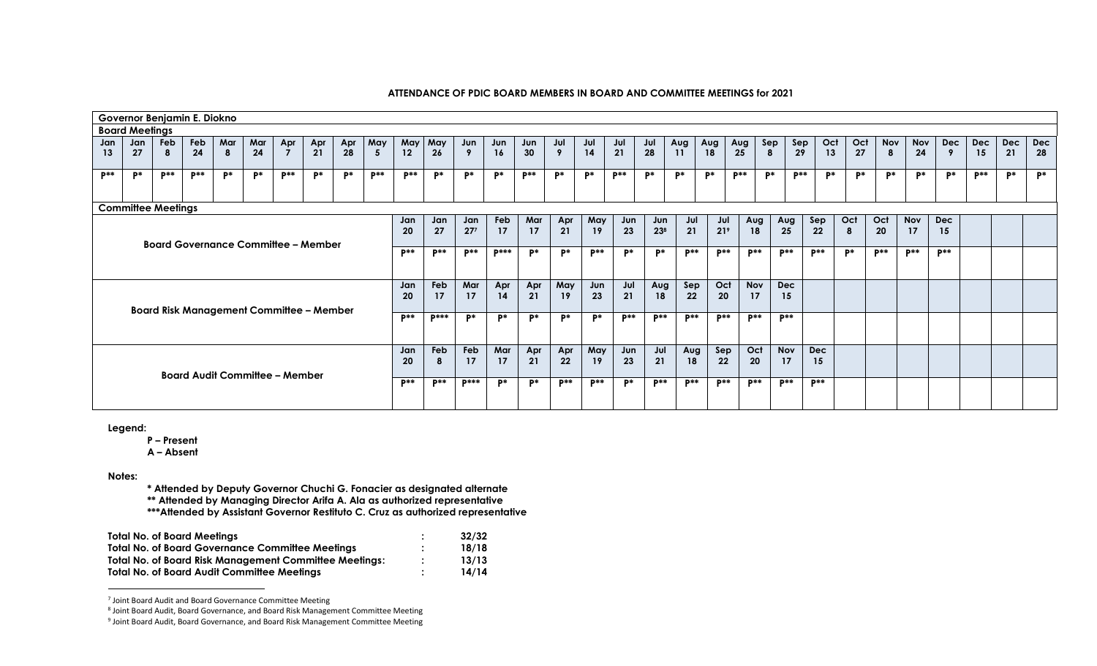|                                                                                                                                          | Governor Benjamin E. Diokno                                                                                                                                                                                                                                                                                                                                                                                                                                             |       |          |    |            |       |      |           |             |       |                 |            |             |                |             |            |             |                 |             |                 |             |             |                 |          |            |       |            |             |    |            |
|------------------------------------------------------------------------------------------------------------------------------------------|-------------------------------------------------------------------------------------------------------------------------------------------------------------------------------------------------------------------------------------------------------------------------------------------------------------------------------------------------------------------------------------------------------------------------------------------------------------------------|-------|----------|----|------------|-------|------|-----------|-------------|-------|-----------------|------------|-------------|----------------|-------------|------------|-------------|-----------------|-------------|-----------------|-------------|-------------|-----------------|----------|------------|-------|------------|-------------|----|------------|
|                                                                                                                                          | <b>Board Meetings</b><br>Feb<br>Mar<br>May<br>Feb<br>Mar<br>May<br>May<br>Jul<br>Oct<br><b>Nov</b><br>Jul<br>Sep<br>Oct<br>Nov<br><b>Dec</b><br><b>Dec</b><br>Dec<br>Apr<br>Jun<br>Sep<br><b>Dec</b><br>Apr<br>Jun<br>Jul<br>Jul<br>Aug<br>Aug<br>Aug<br>Jan<br>Apr<br>Jun<br>21<br>27<br>24<br>21<br>14<br>24<br>28<br>$\mathbf{Q}$<br>28<br>11<br>18<br>13<br>28<br>27<br>30<br>25<br>29<br>24<br>21<br>$12 \overline{ }$<br>16<br>8<br>15<br>-9<br>8<br>26<br>9<br>5 |       |          |    |            |       |      |           |             |       |                 |            |             |                |             |            |             |                 |             |                 |             |             |                 |          |            |       |            |             |    |            |
| Jan                                                                                                                                      |                                                                                                                                                                                                                                                                                                                                                                                                                                                                         |       |          |    |            |       |      |           |             |       |                 |            |             |                |             |            |             |                 |             |                 |             |             |                 |          |            |       |            |             |    |            |
| 13                                                                                                                                       |                                                                                                                                                                                                                                                                                                                                                                                                                                                                         |       |          |    |            |       |      |           |             |       |                 |            |             |                |             |            |             |                 |             |                 |             |             |                 |          |            |       |            |             |    |            |
| $P**$                                                                                                                                    | P*                                                                                                                                                                                                                                                                                                                                                                                                                                                                      | $p**$ | $P^{**}$ | P* | <b>D</b> * | $P**$ | $P*$ | <b>P*</b> | <b>D</b> ** | $P**$ | <b>p</b> *      | P*         | $P*$        | <b>D**</b>     | $P*$        | <b>p</b> * | $P**$       | $P*$            | P*          | P*              | $p**$       | <b>p</b> *  | $\mathbf{p}$ ** | P*<br>p* | P*         | P*    | <b>p</b> * | <b>D</b> ** | p* | <b>p</b> * |
|                                                                                                                                          | <b>Committee Meetings</b>                                                                                                                                                                                                                                                                                                                                                                                                                                               |       |          |    |            |       |      |           |             |       |                 |            |             |                |             |            |             |                 |             |                 |             |             |                 |          |            |       |            |             |    |            |
| <b>Nov</b><br>Oct<br>Oct<br><b>Dec</b><br>Jan<br>Feb<br>Mar<br>Apr<br>May<br>Sep<br>Jun<br>Jul<br>Jan<br>Jan<br>Jun<br>Aug<br>Aug<br>Jul |                                                                                                                                                                                                                                                                                                                                                                                                                                                                         |       |          |    |            |       |      |           |             |       |                 |            |             |                |             |            |             |                 |             |                 |             |             |                 |          |            |       |            |             |    |            |
| $27^{7}$<br>21<br>27<br>21<br>23 <sup>8</sup><br>21 <sup>9</sup><br>17<br>17<br>17<br>23<br>18<br>25<br>22<br>20<br>19<br>20<br>15<br>8  |                                                                                                                                                                                                                                                                                                                                                                                                                                                                         |       |          |    |            |       |      |           |             |       |                 |            |             |                |             |            |             |                 |             |                 |             |             |                 |          |            |       |            |             |    |            |
| <b>Board Governance Committee - Member</b><br>$p**$                                                                                      |                                                                                                                                                                                                                                                                                                                                                                                                                                                                         |       |          |    |            |       |      |           |             |       |                 |            |             |                |             |            |             |                 |             |                 |             |             |                 |          |            |       |            |             |    |            |
|                                                                                                                                          |                                                                                                                                                                                                                                                                                                                                                                                                                                                                         |       |          |    |            |       |      |           |             |       | $\mathbf{p}$ ** | D**        | <b>D***</b> | D*             | P*          | $p**$      | $P*$        | D*              | <b>D</b> ** | <b>D**</b>      | <b>D**</b>  | <b>D</b> ** | $D**$           | p*       | <b>D**</b> | $p**$ | $D$ **     |             |    |            |
|                                                                                                                                          |                                                                                                                                                                                                                                                                                                                                                                                                                                                                         |       |          |    |            |       |      |           |             | Jan   | Feb             | Mar        | Apr         | Apr            | May         | Jun        | Jul         | Aug             | Sep         | Oct             | <b>Nov</b>  | <b>Dec</b>  |                 |          |            |       |            |             |    |            |
|                                                                                                                                          |                                                                                                                                                                                                                                                                                                                                                                                                                                                                         |       |          |    |            |       |      |           |             | 20    | 17              | 17         | 14          | 21             | 19          | 23         | 21          | 18              | 22          | 20              | 17          | 15          |                 |          |            |       |            |             |    |            |
|                                                                                                                                          |                                                                                                                                                                                                                                                                                                                                                                                                                                                                         |       |          |    |            |       |      |           |             |       |                 |            |             |                |             |            |             |                 |             |                 |             |             |                 |          |            |       |            |             |    |            |
| <b>Board Risk Management Committee - Member</b>                                                                                          |                                                                                                                                                                                                                                                                                                                                                                                                                                                                         |       |          |    |            |       |      |           |             |       | <b>D***</b>     | <b>p</b> * | P*          | D*             | P*          | P*         | <b>p</b> ** | <b>D</b> **     | $p**$       | D**             | <b>D</b> ** | <b>D</b> ** |                 |          |            |       |            |             |    |            |
|                                                                                                                                          |                                                                                                                                                                                                                                                                                                                                                                                                                                                                         |       |          |    |            |       |      |           |             | Jan   | Feb             | Feb        | Mar         | Apr            | Apr         | May        | Jun         | Jul             | Aug         | Sep             | Oct         | <b>Nov</b>  | <b>Dec</b>      |          |            |       |            |             |    |            |
|                                                                                                                                          |                                                                                                                                                                                                                                                                                                                                                                                                                                                                         |       |          |    |            |       |      |           |             |       | 8               | 17         | 17          | 21             | 22          | 19         | 23          | 21              | 18          | 22              | 20          | 17          | 15              |          |            |       |            |             |    |            |
| <b>Board Audit Committee - Member</b>                                                                                                    |                                                                                                                                                                                                                                                                                                                                                                                                                                                                         |       |          |    |            |       |      |           |             |       |                 |            |             |                |             |            |             |                 |             |                 |             |             |                 |          |            |       |            |             |    |            |
|                                                                                                                                          |                                                                                                                                                                                                                                                                                                                                                                                                                                                                         |       |          |    |            |       |      |           |             | $p**$ | $p**$           | $D***$     | $P^*$       | $\mathbf{p}^*$ | <b>D</b> ** | $p**$      | P*          | $\mathbf{p}$ ** | $p**$       | $\mathbf{p}$ ** | <b>p</b> ** | $p**$       | $p**$           |          |            |       |            |             |    |            |
|                                                                                                                                          |                                                                                                                                                                                                                                                                                                                                                                                                                                                                         |       |          |    |            |       |      |           |             |       |                 |            |             |                |             |            |             |                 |             |                 |             |             |                 |          |            |       |            |             |    |            |
|                                                                                                                                          |                                                                                                                                                                                                                                                                                                                                                                                                                                                                         |       |          |    |            |       |      |           |             |       |                 |            |             |                |             |            |             |                 |             |                 |             |             |                 |          |            |       |            |             |    |            |

**Legend:**

**P – Present**

**A – Absent**

**Notes:**

 $\overline{a}$ 

**\* Attended by Deputy Governor Chuchi G. Fonacier as designated alternate** 

**\*\* Attended by Managing Director Arifa A. Ala as authorized representative**

**\*\*\*Attended by Assistant Governor Restituto C. Cruz as authorized representative** 

| <b>Total No. of Board Meetings</b>                            |                | 32/32 |
|---------------------------------------------------------------|----------------|-------|
| <b>Total No. of Board Governance Committee Meetings</b>       | $\bullet$      | 18/18 |
| <b>Total No. of Board Risk Management Committee Meetings:</b> | $\ddot{\cdot}$ | 13/13 |
| <b>Total No. of Board Audit Committee Meetings</b>            |                | 14/14 |

7 Joint Board Audit and Board Governance Committee Meeting

<sup>8</sup> Joint Board Audit, Board Governance, and Board Risk Management Committee Meeting

<sup>&</sup>lt;sup>9</sup> Joint Board Audit, Board Governance, and Board Risk Management Committee Meeting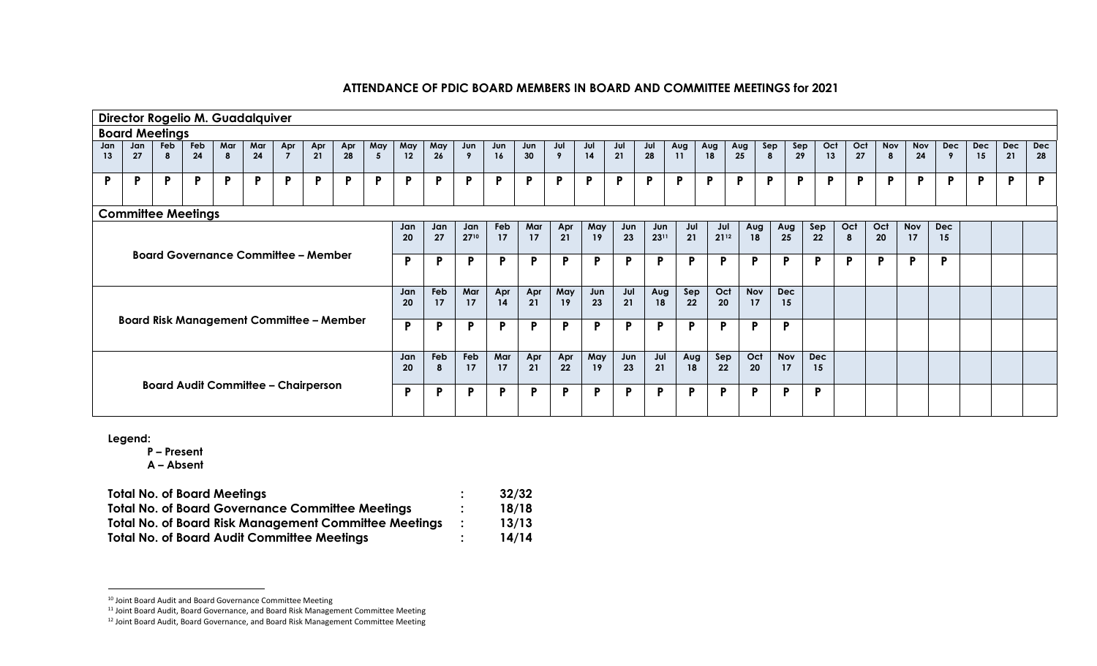| Director Rogelio M. Guadalquiver                                               |           |          |           |          |           |                       |                                                 |           |              |           |           |             |           |           |                  |           |           |             |              |                  |                  |                 |                  |                  |              |                                       |                  |                              |                  |                  |                  |
|--------------------------------------------------------------------------------|-----------|----------|-----------|----------|-----------|-----------------------|-------------------------------------------------|-----------|--------------|-----------|-----------|-------------|-----------|-----------|------------------|-----------|-----------|-------------|--------------|------------------|------------------|-----------------|------------------|------------------|--------------|---------------------------------------|------------------|------------------------------|------------------|------------------|------------------|
| <b>Board Meetings</b>                                                          |           |          |           |          |           |                       |                                                 |           |              |           |           |             |           |           |                  |           |           |             |              |                  |                  |                 |                  |                  |              |                                       |                  |                              |                  |                  |                  |
| Jan<br>13                                                                      | Jan<br>27 | Feb<br>8 | Feb<br>24 | Mar<br>8 | Mar<br>24 | Apr<br>$\overline{7}$ | Apr<br>21                                       | Apr<br>28 | May<br>5     | May<br>12 | May<br>26 | Jun<br>9    | Jun<br>16 | Jun<br>30 | Jul<br>9         | Jul<br>14 | Jul<br>21 | Jul<br>28   | Aug<br>11    | Aug<br>18        | Aug<br>25        | Sep<br>$\bf{8}$ | Sep<br>29        | Oct<br>13        | Oct<br>27    | <b>Nov</b><br>$\overline{\mathbf{8}}$ | <b>Nov</b><br>24 | <b>Dec</b><br>$\overline{9}$ | <b>Dec</b><br>15 | <b>Dec</b><br>21 | <b>Dec</b><br>28 |
| P                                                                              | P         | P        | P         | P.       | P         | P                     | P.                                              | P         | $\mathsf{P}$ | P.        | P         | P           | P         | P         | $\mathsf{P}$     | P         | P.        | P           | P            | P                | P                | P               | P                | P                | P            | P                                     | P.               | P                            | P                | P                | P                |
| <b>Committee Meetings</b>                                                      |           |          |           |          |           |                       |                                                 |           |              |           |           |             |           |           |                  |           |           |             |              |                  |                  |                 |                  |                  |              |                                       |                  |                              |                  |                  |                  |
| Jan<br>Jan<br>27<br>20<br><b>Board Governance Committee - Member</b><br>P<br>D |           |          |           |          |           |                       |                                                 |           |              |           |           | Jan<br>2710 | Feb<br>17 | Mar<br>17 | Apr<br>21        | May<br>19 | Jun<br>23 | Jun<br>2311 | Jul<br>21    | Jul<br>$21^{12}$ |                  | Aug<br>18       | Aug<br>25        | Sep<br>22        | Oct<br>8     | Oct<br>20                             | <b>Nov</b><br>17 | <b>Dec</b><br>15             |                  |                  |                  |
|                                                                                |           |          |           |          |           |                       |                                                 |           |              |           |           | P           | P         | P         | $\mathsf{P}$     | <b>P</b>  | P         | P           | $\mathsf{P}$ | P                | P                |                 | P                | P                | $\mathsf{P}$ | P                                     | P                | P                            |                  |                  |                  |
|                                                                                |           |          |           |          |           |                       |                                                 |           |              | Jan<br>20 | Feb<br>17 | Mar<br>17   | Apr<br>14 | Apr<br>21 | May<br><b>19</b> | Jun<br>23 | Jul<br>21 | Aug<br>18   | Sep<br>22    | Oct<br>20        | <b>Nov</b><br>17 |                 | <b>Dec</b><br>15 |                  |              |                                       |                  |                              |                  |                  |                  |
|                                                                                |           |          |           |          |           |                       | <b>Board Risk Management Committee - Member</b> |           |              | P         | D         | P           | P         | P         | $\mathsf{P}$     | P         | P         | P.          | $\mathsf{P}$ | P.               | P                |                 | Þ                |                  |              |                                       |                  |                              |                  |                  |                  |
|                                                                                |           |          |           |          |           |                       |                                                 |           |              |           | Feb<br>8  | Feb<br>17   | Mar<br>17 | Apr<br>21 | Apr<br>22        | May<br>19 | Jun<br>23 | Jul<br>21   | Aug<br>18    | Sep<br>22        | Oct              | 20              | <b>Nov</b><br>17 | <b>Dec</b><br>15 |              |                                       |                  |                              |                  |                  |                  |
| <b>Board Audit Committee - Chairperson</b>                                     |           |          |           |          |           |                       |                                                 |           |              | P         | Þ         | P           | P         | P         | $\mathsf{P}$     | P         | P         | P           | $\mathsf{P}$ | P                | P                |                 | P                | P                |              |                                       |                  |                              |                  |                  |                  |

**Legend:**

 $\overline{a}$ 

**P – Present**

| <b>Total No. of Board Meetings</b>                           | 32/32 |
|--------------------------------------------------------------|-------|
| <b>Total No. of Board Governance Committee Meetings</b>      | 18/18 |
| <b>Total No. of Board Risk Management Committee Meetings</b> | 13/13 |
| <b>Total No. of Board Audit Committee Meetings</b>           | 14/14 |

<sup>10</sup> Joint Board Audit and Board Governance Committee Meeting

<sup>&</sup>lt;sup>11</sup> Joint Board Audit, Board Governance, and Board Risk Management Committee Meeting

<sup>12</sup> Joint Board Audit, Board Governance, and Board Risk Management Committee Meeting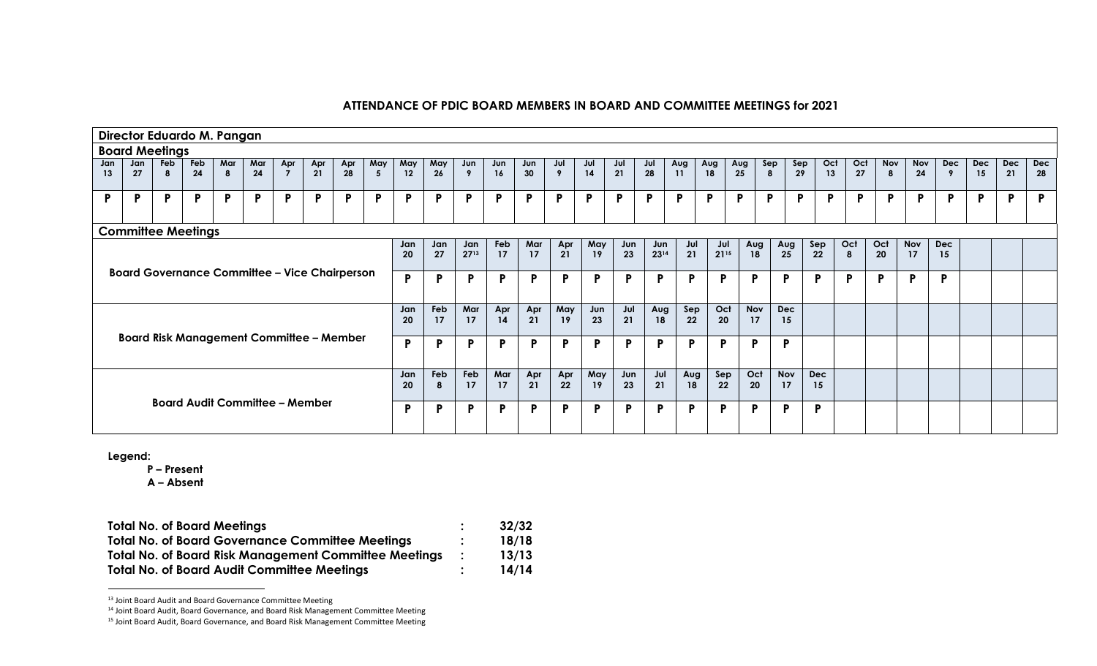| Director Eduardo M. Pangan                                                                                                                                                                                                                                           |                                       |          |           |          |           |                       |              |                                                 |              |           |                 |           |                  |           |              |              |           |           |           |           |                  |                  |                  |           |              |          |           |            |           |                  |                  |
|----------------------------------------------------------------------------------------------------------------------------------------------------------------------------------------------------------------------------------------------------------------------|---------------------------------------|----------|-----------|----------|-----------|-----------------------|--------------|-------------------------------------------------|--------------|-----------|-----------------|-----------|------------------|-----------|--------------|--------------|-----------|-----------|-----------|-----------|------------------|------------------|------------------|-----------|--------------|----------|-----------|------------|-----------|------------------|------------------|
| <b>Board Meetings</b>                                                                                                                                                                                                                                                |                                       |          |           |          |           |                       |              |                                                 |              |           |                 |           |                  |           |              |              |           |           |           |           |                  |                  |                  |           |              |          |           |            |           |                  |                  |
| Jan<br>13                                                                                                                                                                                                                                                            | Jan<br>27                             | Feb<br>8 | Feb<br>24 | Mar<br>8 | Mar<br>24 | Apr<br>$\overline{7}$ | Apr<br>21    | Apr<br>28                                       | May<br>5     | May<br>12 | May<br>26       | Jun<br>9  | Jun<br><b>16</b> | Jun<br>30 | Jul<br>9     | Jul<br>14    | Jul<br>21 | Jul<br>28 | Aug<br>11 | Aug<br>18 | Aug<br>25        | Sep<br>8         | Sep<br>29        | Oct<br>13 | Oct<br>27    | Nov<br>8 | Nov<br>24 | Dec<br>- 9 | Dec<br>15 | <b>Dec</b><br>21 | <b>Dec</b><br>28 |
| P                                                                                                                                                                                                                                                                    | P                                     | P        | P         | P        | P         | P                     | $\mathsf{P}$ | D                                               | $\mathsf{P}$ | P         | Þ               | P         | P                | Þ         | P.           | $\mathsf{P}$ | D         | P         | P         | Þ         | P.               | P                | P                | P         | P            | P        | P         | P          | D         | P                | P                |
| <b>Committee Meetings</b>                                                                                                                                                                                                                                            |                                       |          |           |          |           |                       |              |                                                 |              |           |                 |           |                  |           |              |              |           |           |           |           |                  |                  |                  |           |              |          |           |            |           |                  |                  |
| Oct<br>Feb<br>Mar<br>Apr<br>Oct<br><b>Nov</b><br>May<br>Jul<br><b>Dec</b><br>Jun<br>Sep<br>Jan<br>Jan<br>Jan<br>Jul<br>Aug<br>Aug<br>Jun<br>21<br>2713<br>27<br>23<br>$21^{15}$<br>17<br>21<br>2314<br>18<br>20<br>17<br>25<br>22<br>20<br>17<br>19<br>8<br>15<br>P. |                                       |          |           |          |           |                       |              |                                                 |              |           |                 |           |                  |           |              |              |           |           |           |           |                  |                  |                  |           |              |          |           |            |           |                  |                  |
| <b>Board Governance Committee - Vice Chairperson</b>                                                                                                                                                                                                                 |                                       |          |           |          |           |                       |              |                                                 |              |           | D               | P         | P                | P         | $\mathbf{P}$ | P            | P         | P.        | P         | P         | P                | P                | P                |           | $\mathsf{P}$ | P        | P         | P          |           |                  |                  |
|                                                                                                                                                                                                                                                                      |                                       |          |           |          |           |                       |              |                                                 |              | Jan<br>20 | Feb<br>17       | Mar<br>17 | Apr<br>14        | Apr<br>21 | May<br>19    | Jun<br>23    | Jul<br>21 | Aug<br>18 | Sep<br>22 | Oct<br>20 | <b>Nov</b><br>17 | <b>Dec</b><br>15 |                  |           |              |          |           |            |           |                  |                  |
|                                                                                                                                                                                                                                                                      |                                       |          |           |          |           |                       |              | <b>Board Risk Management Committee - Member</b> |              | P         | D               | P         | P                | P         | P            | P            | P         | P.        | P         | P         | Þ                | P                |                  |           |              |          |           |            |           |                  |                  |
|                                                                                                                                                                                                                                                                      |                                       |          |           |          |           |                       |              |                                                 |              |           | <b>Feb</b><br>8 | Feb<br>17 | Mar<br>17        | Apr<br>21 | Apr<br>22    | May<br>19    | Jun<br>23 | Jul<br>21 | Aug<br>18 | Sep<br>22 | Oct<br>20        | <b>Nov</b><br>17 | <b>Dec</b><br>15 |           |              |          |           |            |           |                  |                  |
|                                                                                                                                                                                                                                                                      | <b>Board Audit Committee - Member</b> |          |           |          |           |                       |              |                                                 |              |           | D               | P         | P                | P         | P            | P            | P         | P         | P         | P         | P                | Þ                | P                |           |              |          |           |            |           |                  |                  |

**Legend:**

 $\overline{a}$ 

**P – Present**

| <b>Total No. of Board Meetings</b>                           |                | 32/32 |
|--------------------------------------------------------------|----------------|-------|
| <b>Total No. of Board Governance Committee Meetings</b>      | $\bullet$      | 18/18 |
| <b>Total No. of Board Risk Management Committee Meetings</b> | $\mathbb{R}^2$ | 13/13 |
| <b>Total No. of Board Audit Committee Meetings</b>           | ٠              | 14/14 |

<sup>13</sup> Joint Board Audit and Board Governance Committee Meeting

<sup>14</sup> Joint Board Audit, Board Governance, and Board Risk Management Committee Meeting

<sup>15</sup> Joint Board Audit, Board Governance, and Board Risk Management Committee Meeting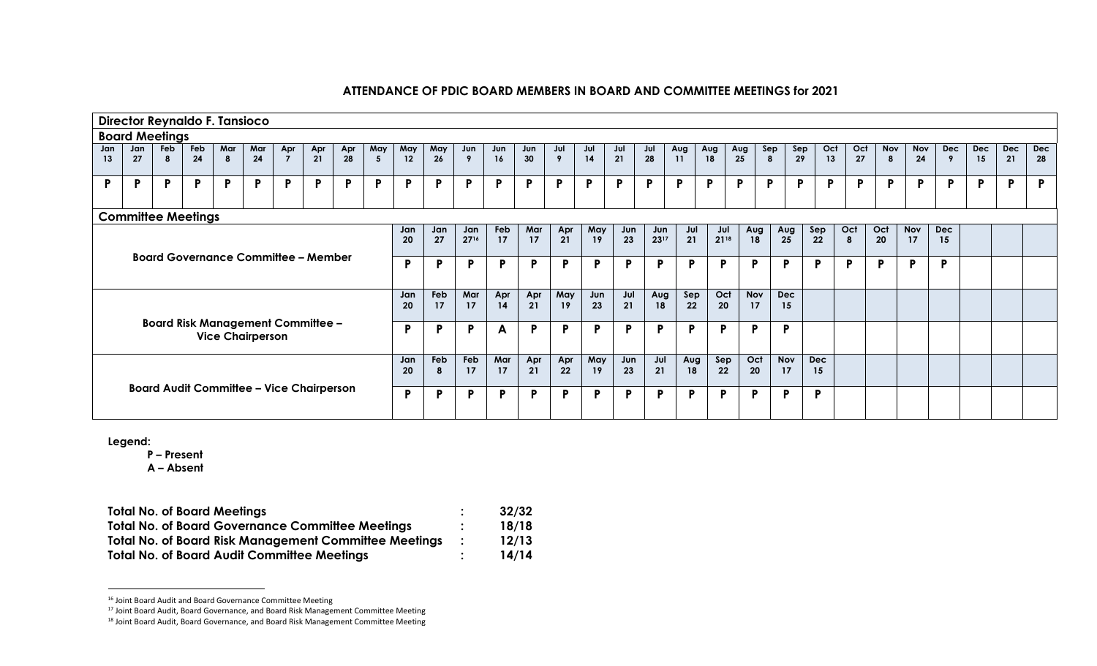|                                                                                                                                                                                                                                                    |                                            |                       |                           | Director Reynaldo F. Tansioco |     |                                          |     |     |     |     |     |                  |     |     |              |              |          |     |              |     |              |              |              |     |            |            |            |            |            |            |
|----------------------------------------------------------------------------------------------------------------------------------------------------------------------------------------------------------------------------------------------------|--------------------------------------------|-----------------------|---------------------------|-------------------------------|-----|------------------------------------------|-----|-----|-----|-----|-----|------------------|-----|-----|--------------|--------------|----------|-----|--------------|-----|--------------|--------------|--------------|-----|------------|------------|------------|------------|------------|------------|
|                                                                                                                                                                                                                                                    |                                            | <b>Board Meetings</b> |                           |                               |     |                                          |     |     |     |     |     |                  |     |     |              |              |          |     |              |     |              |              |              |     |            |            |            |            |            |            |
| Jan                                                                                                                                                                                                                                                | Jan                                        | Feb                   | Feb                       | Mar                           | Mar | Apr                                      | Apr | Apr | May | May | May | Jun              | Jun | Jun | Jul          | Jul          | Jul      | Jul | Aug          | Aug | Aug          | Sep<br>Sep   | Oct          | Oct | <b>Nov</b> | <b>Nov</b> | <b>Dec</b> | <b>Dec</b> | <b>Dec</b> | <b>Dec</b> |
| 13                                                                                                                                                                                                                                                 | 27                                         |                       | 24                        | 8                             | 24  | $\overline{z}$                           | 21  | 28  | 5   | 12  | 26  | $\boldsymbol{9}$ | 16  | 30  | 9            | 14           | 21       | 28  | 11           | 18  | 25           | 29<br>8      | 13           | 27  | -8         | 24         | 9          | 15         | 21         | 28         |
| P                                                                                                                                                                                                                                                  | $\mathbf{P}$                               | P.                    | P                         | P                             | P   | P                                        | P   | P   | P   | P   | P   | $\mathsf{P}$     | P   | P   | P            | $\mathsf{P}$ | <b>P</b> | P   | $\mathsf{P}$ | P   | P            | P<br>P       | P.           | P   | P          | P          | P          | P.         | P.         | P          |
|                                                                                                                                                                                                                                                    |                                            |                       | <b>Committee Meetings</b> |                               |     |                                          |     |     |     |     |     |                  |     |     |              |              |          |     |              |     |              |              |              |     |            |            |            |            |            |            |
| Feb<br>Mar<br>Apr<br>Jul<br>Oct<br>May<br>Sep<br>Oct<br>Nov<br><b>Dec</b><br>Jan<br>Jan<br>Aug<br>Aug<br>Jun<br>Jun<br>Jul<br>Jan<br>2716<br>23<br>21<br>2118<br>27<br>17<br>21<br>2317<br>18<br>25<br>22<br>17<br>17<br>19<br>20<br>20<br>8<br>15 |                                            |                       |                           |                               |     |                                          |     |     |     |     |     |                  |     |     |              |              |          |     |              |     |              |              |              |     |            |            |            |            |            |            |
|                                                                                                                                                                                                                                                    |                                            |                       |                           |                               |     |                                          |     |     |     |     |     |                  |     |     |              |              |          |     |              |     |              |              |              |     |            |            |            |            |            |            |
|                                                                                                                                                                                                                                                    |                                            |                       |                           |                               |     |                                          |     |     |     | P   |     | P                | P   | P   | $\mathsf{P}$ | P            | P        | P   | P            | Þ   | $\mathsf{P}$ | $\mathsf{P}$ | $\mathsf{P}$ | P   | P          | P          | Þ          |            |            |            |
|                                                                                                                                                                                                                                                    | <b>Board Governance Committee - Member</b> |                       |                           |                               |     |                                          |     |     |     |     |     |                  |     |     |              |              |          |     |              |     |              |              |              |     |            |            |            |            |            |            |
|                                                                                                                                                                                                                                                    |                                            |                       |                           |                               |     |                                          |     |     |     | Jan | Feb | Mar              | Apr | Apr | May          | Jun          | Jul      | Aug | Sep          | Oct | Nov          | <b>Dec</b>   |              |     |            |            |            |            |            |            |
|                                                                                                                                                                                                                                                    |                                            |                       |                           |                               |     |                                          |     |     |     | 20  | 17  | 17               | 14  | 21  | 19           | 23           | 21       | 18  | 22           | 20  | 17           | 15           |              |     |            |            |            |            |            |            |
|                                                                                                                                                                                                                                                    |                                            |                       |                           |                               |     | <b>Board Risk Management Committee -</b> |     |     |     | P   | D   | P                | A   | P   | P            | P            | P        | P   | P            | D   | P            | P            |              |     |            |            |            |            |            |            |
|                                                                                                                                                                                                                                                    |                                            |                       |                           | <b>Vice Chairperson</b>       |     |                                          |     |     |     |     |     |                  |     |     |              |              |          |     |              |     |              |              |              |     |            |            |            |            |            |            |
|                                                                                                                                                                                                                                                    |                                            |                       |                           |                               |     |                                          |     |     |     | Jan | Feb | Feb              | Mar | Apr | Apr          | May          | Jun      | Jul | Aug          | Sep | Oct          | <b>Nov</b>   | <b>Dec</b>   |     |            |            |            |            |            |            |
|                                                                                                                                                                                                                                                    |                                            |                       |                           |                               |     |                                          |     |     |     | 20  |     | 17               | 17  | 21  | 22           | 19           | 23       | 21  | 18           | 22  | 20           | 17           | 15           |     |            |            |            |            |            |            |
| <b>Board Audit Committee - Vice Chairperson</b>                                                                                                                                                                                                    |                                            |                       |                           |                               |     |                                          |     |     |     | P   |     | P                | P   | P   | P            | P            | P        | P   | P            | Þ   | P            | P            | P            |     |            |            |            |            |            |            |
|                                                                                                                                                                                                                                                    |                                            |                       |                           |                               |     |                                          |     |     |     |     |     |                  |     |     |              |              |          |     |              |     |              |              |              |     |            |            |            |            |            |            |

**Legend:**

 $\overline{a}$ 

**P – Present**

| <b>Total No. of Board Meetings</b>                           | 32/32 |
|--------------------------------------------------------------|-------|
| <b>Total No. of Board Governance Committee Meetings</b>      | 18/18 |
| <b>Total No. of Board Risk Management Committee Meetings</b> | 12/13 |
| <b>Total No. of Board Audit Committee Meetings</b>           | 14/14 |

<sup>16</sup> Joint Board Audit and Board Governance Committee Meeting

<sup>17</sup> Joint Board Audit, Board Governance, and Board Risk Management Committee Meeting

<sup>18</sup> Joint Board Audit, Board Governance, and Board Risk Management Committee Meeting